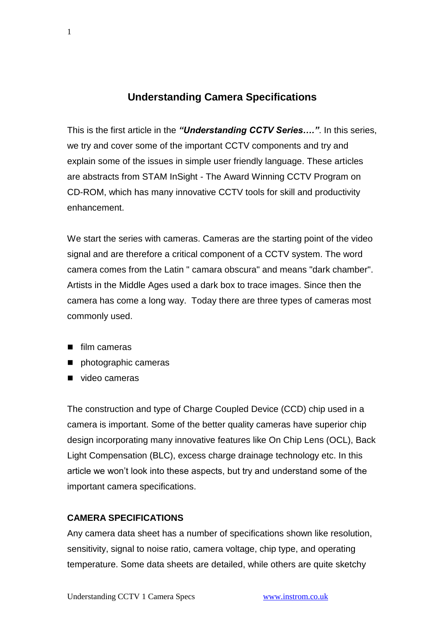# **Understanding Camera Specifications**

This is the first article in the *"Understanding CCTV Series…."*. In this series, we try and cover some of the important CCTV components and try and explain some of the issues in simple user friendly language. These articles are abstracts from STAM InSight - The Award Winning CCTV Program on CD-ROM, which has many innovative CCTV tools for skill and productivity enhancement.

We start the series with cameras. Cameras are the starting point of the video signal and are therefore a critical component of a CCTV system. The word camera comes from the Latin " camara obscura" and means "dark chamber". Artists in the Middle Ages used a dark box to trace images. Since then the camera has come a long way. Today there are three types of cameras most commonly used.

- film cameras
- **n** photographic cameras
- video cameras

The construction and type of Charge Coupled Device (CCD) chip used in a camera is important. Some of the better quality cameras have superior chip design incorporating many innovative features like On Chip Lens (OCL), Back Light Compensation (BLC), excess charge drainage technology etc. In this article we won't look into these aspects, but try and understand some of the important camera specifications.

#### **CAMERA SPECIFICATIONS**

Any camera data sheet has a number of specifications shown like resolution, sensitivity, signal to noise ratio, camera voltage, chip type, and operating temperature. Some data sheets are detailed, while others are quite sketchy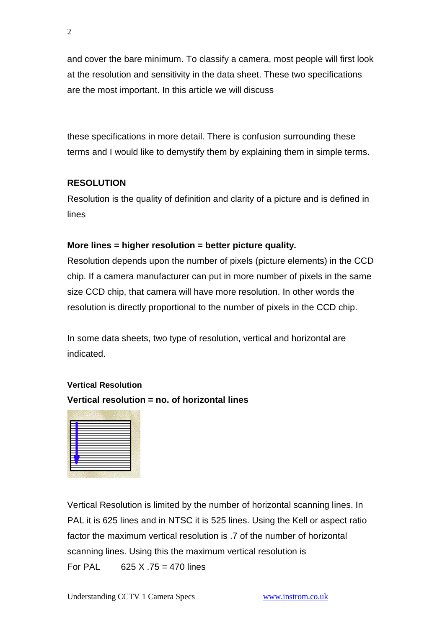and cover the bare minimum. To classify a camera, most people will first look at the resolution and sensitivity in the data sheet. These two specifications are the most important. In this article we will discuss

these specifications in more detail. There is confusion surrounding these terms and I would like to demystify them by explaining them in simple terms.

## **RESOLUTION**

Resolution is the quality of definition and clarity of a picture and is defined in lines

#### **More lines = higher resolution = better picture quality.**

Resolution depends upon the number of pixels (picture elements) in the CCD chip. If a camera manufacturer can put in more number of pixels in the same size CCD chip, that camera will have more resolution. In other words the resolution is directly proportional to the number of pixels in the CCD chip.

In some data sheets, two type of resolution, vertical and horizontal are indicated.

#### **Vertical Resolution**

**Vertical resolution = no. of horizontal lines**



Vertical Resolution is limited by the number of horizontal scanning lines. In PAL it is 625 lines and in NTSC it is 525 lines. Using the Kell or aspect ratio factor the maximum vertical resolution is .7 of the number of horizontal scanning lines. Using this the maximum vertical resolution is For PAL  $625 \times .75 = 470$  lines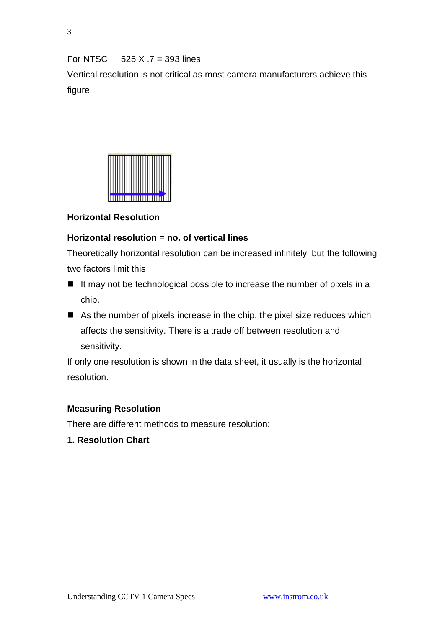For NTSC  $525 X .7 = 393$  lines

Vertical resolution is not critical as most camera manufacturers achieve this figure.



### **Horizontal Resolution**

#### **Horizontal resolution = no. of vertical lines**

Theoretically horizontal resolution can be increased infinitely, but the following two factors limit this

- $\blacksquare$  It may not be technological possible to increase the number of pixels in a chip.
- As the number of pixels increase in the chip, the pixel size reduces which affects the sensitivity. There is a trade off between resolution and sensitivity.

If only one resolution is shown in the data sheet, it usually is the horizontal resolution.

#### **Measuring Resolution**

There are different methods to measure resolution:

**1. Resolution Chart**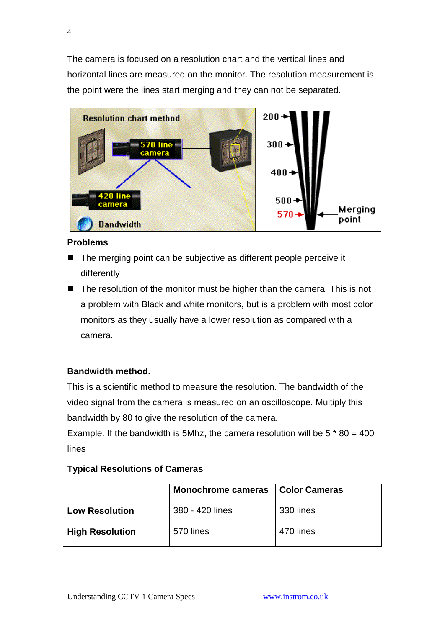The camera is focused on a resolution chart and the vertical lines and horizontal lines are measured on the monitor. The resolution measurement is the point were the lines start merging and they can not be separated.



#### **Problems**

- The merging point can be subjective as different people perceive it differently
- $\blacksquare$  The resolution of the monitor must be higher than the camera. This is not a problem with Black and white monitors, but is a problem with most color monitors as they usually have a lower resolution as compared with a camera.

### **Bandwidth method.**

This is a scientific method to measure the resolution. The bandwidth of the video signal from the camera is measured on an oscilloscope. Multiply this bandwidth by 80 to give the resolution of the camera.

Example. If the bandwidth is 5Mhz, the camera resolution will be  $5 * 80 = 400$ lines

#### **Typical Resolutions of Cameras**

|                        | <b>Monochrome cameras</b> | <b>Color Cameras</b> |
|------------------------|---------------------------|----------------------|
| <b>Low Resolution</b>  | 380 - 420 lines           | 330 lines            |
| <b>High Resolution</b> | 570 lines                 | 470 lines            |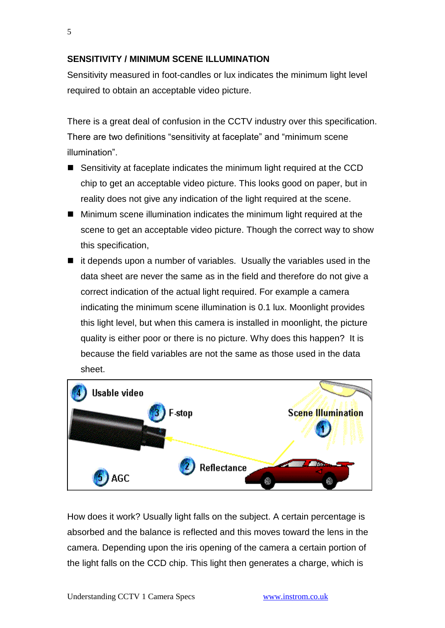#### **SENSITIVITY / MINIMUM SCENE ILLUMINATION**

Sensitivity measured in foot-candles or lux indicates the minimum light level required to obtain an acceptable video picture.

There is a great deal of confusion in the CCTV industry over this specification. There are two definitions "sensitivity at faceplate" and "minimum scene illumination".

- Sensitivity at faceplate indicates the minimum light required at the CCD chip to get an acceptable video picture. This looks good on paper, but in reality does not give any indication of the light required at the scene.
- Minimum scene illumination indicates the minimum light required at the scene to get an acceptable video picture. Though the correct way to show this specification,
- $\blacksquare$  it depends upon a number of variables. Usually the variables used in the data sheet are never the same as in the field and therefore do not give a correct indication of the actual light required. For example a camera indicating the minimum scene illumination is 0.1 lux. Moonlight provides this light level, but when this camera is installed in moonlight, the picture quality is either poor or there is no picture. Why does this happen? It is because the field variables are not the same as those used in the data sheet.



How does it work? Usually light falls on the subject. A certain percentage is absorbed and the balance is reflected and this moves toward the lens in the camera. Depending upon the iris opening of the camera a certain portion of the light falls on the CCD chip. This light then generates a charge, which is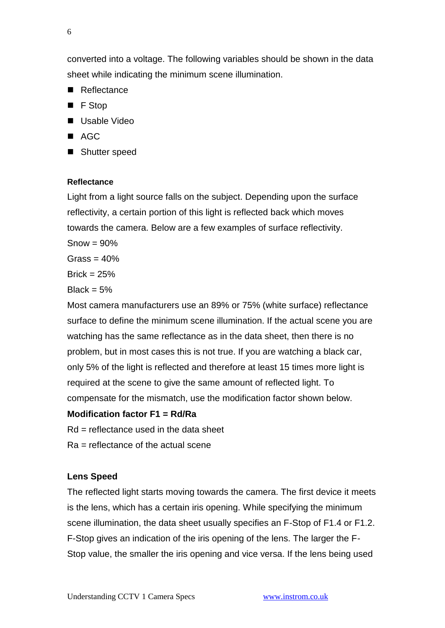converted into a voltage. The following variables should be shown in the data sheet while indicating the minimum scene illumination.

- Reflectance
- F Stop
- Usable Video
- $AC$
- Shutter speed

#### **Reflectance**

Light from a light source falls on the subject. Depending upon the surface reflectivity, a certain portion of this light is reflected back which moves towards the camera. Below are a few examples of surface reflectivity.

 $Show = 90%$ 

Grass =  $40%$ 

 $Brick = 25%$ 

Black =  $5%$ 

Most camera manufacturers use an 89% or 75% (white surface) reflectance surface to define the minimum scene illumination. If the actual scene you are watching has the same reflectance as in the data sheet, then there is no problem, but in most cases this is not true. If you are watching a black car, only 5% of the light is reflected and therefore at least 15 times more light is required at the scene to give the same amount of reflected light. To compensate for the mismatch, use the modification factor shown below.

#### **Modification factor F1 = Rd/Ra**

 $Rd$  = reflectance used in the data sheet

Ra = reflectance of the actual scene

#### **Lens Speed**

The reflected light starts moving towards the camera. The first device it meets is the lens, which has a certain iris opening. While specifying the minimum scene illumination, the data sheet usually specifies an F-Stop of F1.4 or F1.2. F-Stop gives an indication of the iris opening of the lens. The larger the F-Stop value, the smaller the iris opening and vice versa. If the lens being used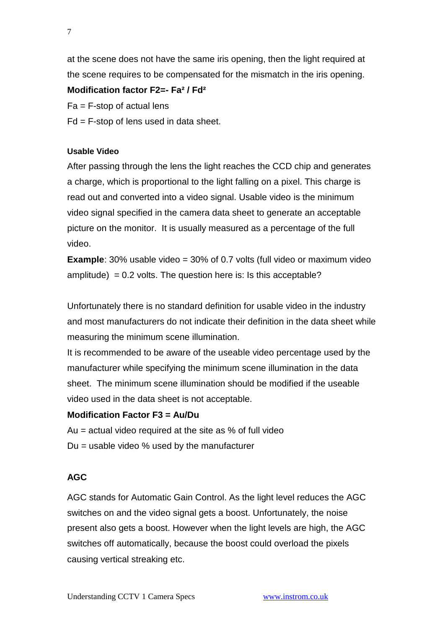at the scene does not have the same iris opening, then the light required at the scene requires to be compensated for the mismatch in the iris opening.

## **Modification factor F2=- Fa² / Fd²**

 $Fa = F-step$  of actual lens

Fd = F-stop of lens used in data sheet.

#### **Usable Video**

After passing through the lens the light reaches the CCD chip and generates a charge, which is proportional to the light falling on a pixel. This charge is read out and converted into a video signal. Usable video is the minimum video signal specified in the camera data sheet to generate an acceptable picture on the monitor. It is usually measured as a percentage of the full video.

**Example**: 30% usable video = 30% of 0.7 volts (full video or maximum video amplitude) =  $0.2$  volts. The question here is: Is this acceptable?

Unfortunately there is no standard definition for usable video in the industry and most manufacturers do not indicate their definition in the data sheet while measuring the minimum scene illumination.

It is recommended to be aware of the useable video percentage used by the manufacturer while specifying the minimum scene illumination in the data sheet. The minimum scene illumination should be modified if the useable video used in the data sheet is not acceptable.

### **Modification Factor F3 = Au/Du**

Au = actual video required at the site as % of full video  $Du =$  usable video % used by the manufacturer

## **AGC**

AGC stands for Automatic Gain Control. As the light level reduces the AGC switches on and the video signal gets a boost. Unfortunately, the noise present also gets a boost. However when the light levels are high, the AGC switches off automatically, because the boost could overload the pixels causing vertical streaking etc.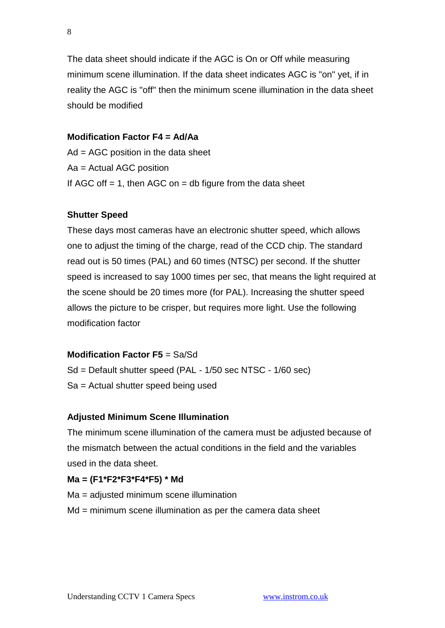The data sheet should indicate if the AGC is On or Off while measuring minimum scene illumination. If the data sheet indicates AGC is "on" yet, if in reality the AGC is "off" then the minimum scene illumination in the data sheet should be modified

### **Modification Factor F4 = Ad/Aa**

Ad = AGC position in the data sheet Aa = Actual AGC position If AGC off  $= 1$ , then AGC on  $=$  db figure from the data sheet

### **Shutter Speed**

These days most cameras have an electronic shutter speed, which allows one to adjust the timing of the charge, read of the CCD chip. The standard read out is 50 times (PAL) and 60 times (NTSC) per second. If the shutter speed is increased to say 1000 times per sec, that means the light required at the scene should be 20 times more (for PAL). Increasing the shutter speed allows the picture to be crisper, but requires more light. Use the following modification factor

### **Modification Factor F5** = Sa/Sd

Sd = Default shutter speed (PAL - 1/50 sec NTSC - 1/60 sec) Sa = Actual shutter speed being used

### **Adjusted Minimum Scene Illumination**

The minimum scene illumination of the camera must be adjusted because of the mismatch between the actual conditions in the field and the variables used in the data sheet.

### **Ma = (F1\*F2\*F3\*F4\*F5) \* Md**

- Ma = adjusted minimum scene illumination
- Md = minimum scene illumination as per the camera data sheet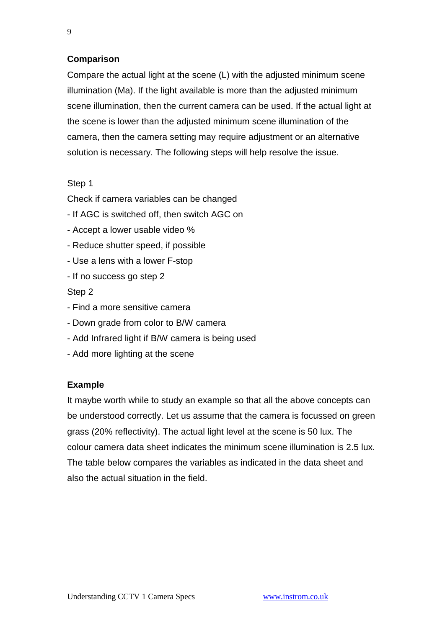### **Comparison**

Compare the actual light at the scene (L) with the adjusted minimum scene illumination (Ma). If the light available is more than the adjusted minimum scene illumination, then the current camera can be used. If the actual light at the scene is lower than the adjusted minimum scene illumination of the camera, then the camera setting may require adjustment or an alternative solution is necessary. The following steps will help resolve the issue.

#### Step 1

Check if camera variables can be changed

- If AGC is switched off, then switch AGC on
- Accept a lower usable video %
- Reduce shutter speed, if possible
- Use a lens with a lower F-stop
- If no success go step 2

#### Step 2

- Find a more sensitive camera
- Down grade from color to B/W camera
- Add Infrared light if B/W camera is being used
- Add more lighting at the scene

### **Example**

It maybe worth while to study an example so that all the above concepts can be understood correctly. Let us assume that the camera is focussed on green grass (20% reflectivity). The actual light level at the scene is 50 lux. The colour camera data sheet indicates the minimum scene illumination is 2.5 lux. The table below compares the variables as indicated in the data sheet and also the actual situation in the field.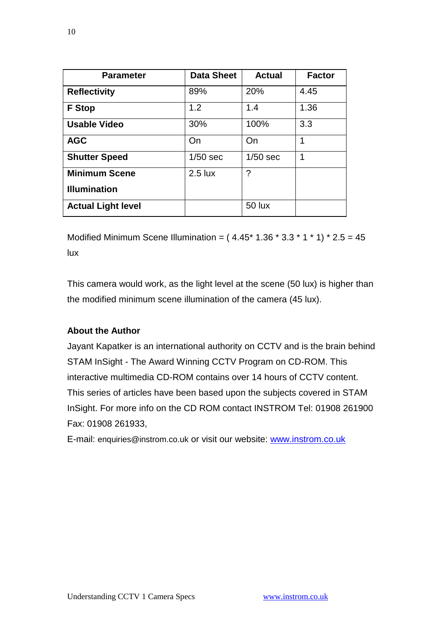| <b>Parameter</b>          | <b>Data Sheet</b> | <b>Actual</b> | <b>Factor</b> |
|---------------------------|-------------------|---------------|---------------|
| <b>Reflectivity</b>       | 89%               | 20%           | 4.45          |
| <b>F</b> Stop             | 1.2               | 1.4           | 1.36          |
| <b>Usable Video</b>       | 30%               | 100%          | 3.3           |
| <b>AGC</b>                | On                | On            | 1             |
| <b>Shutter Speed</b>      | $1/50$ sec        | $1/50$ sec    | 1             |
| <b>Minimum Scene</b>      | $2.5$ lux         | ?             |               |
| <b>Illumination</b>       |                   |               |               |
| <b>Actual Light level</b> |                   | <b>50 lux</b> |               |

Modified Minimum Scene Illumination =  $(4.45 * 1.36 * 3.3 * 1 * 1) * 2.5 = 45$ lux

This camera would work, as the light level at the scene (50 lux) is higher than the modified minimum scene illumination of the camera (45 lux).

#### **About the Author**

Jayant Kapatker is an international authority on CCTV and is the brain behind STAM InSight - The Award Winning CCTV Program on CD-ROM. This interactive multimedia CD-ROM contains over 14 hours of CCTV content. This series of articles have been based upon the subjects covered in STAM InSight. For more info on the CD ROM contact INSTROM Tel: 01908 261900 Fax: 01908 261933,

E-mail: [enquiries@instrom.co.uk](mailto:enquiries@instrom.co.uk) or visit our website: [www.instrom.co.uk](http://www.instrom.co.uk/)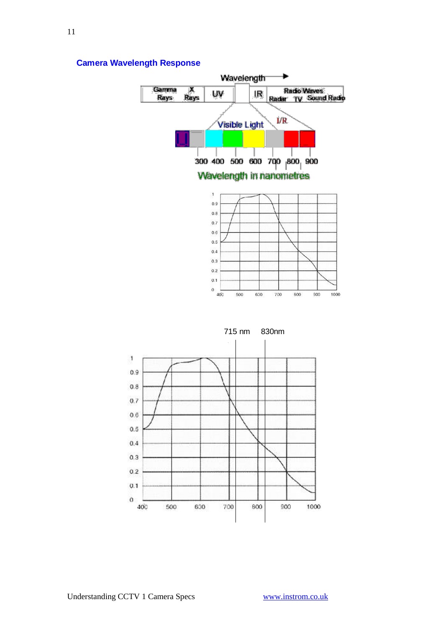

#### **Camera Wavelength Response**